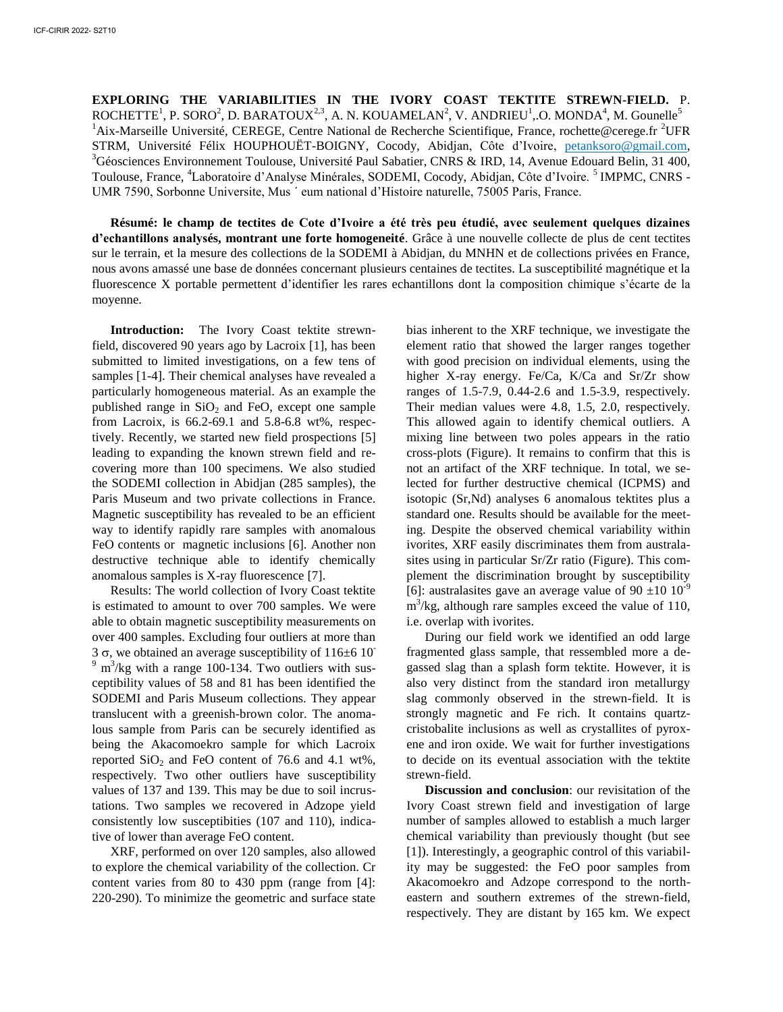**EXPLORING THE VARIABILITIES IN THE IVORY COAST TEKTITE STREWN-FIELD.** P. ROCHETTE<sup>1</sup>, P. SORO<sup>2</sup>, D. BARATOUX<sup>2,3</sup>, A. N. KOUAMELAN<sup>2</sup>, V. ANDRIEU<sup>1</sup>, O. MONDA<sup>4</sup>, M. Gounelle<sup>5</sup> <sup>1</sup>Aix-Marseille Université, CEREGE, Centre National de Recherche Scientifique, France, rochette@cerege.fr <sup>2</sup>UFR STRM, Université Félix HOUPHOUËT-BOIGNY, Cocody, Abidjan, Côte d'Ivoire, [petanksoro@gmail.com,](mailto:petanksoro@gmail.com) <sup>3</sup>Géosciences Environnement Toulouse, Université Paul Sabatier, CNRS & IRD, 14, Avenue Edouard Belin, 31 400, Toulouse, France, <sup>4</sup>Laboratoire d'Analyse Minérales, SODEMI, Cocody, Abidjan, Côte d'Ivoire. <sup>5</sup> IMPMC, CNRS -UMR 7590, Sorbonne Universite, Mus ´ eum national d'Histoire naturelle, 75005 Paris, France.

**Résumé: le champ de tectites de Cote d'Ivoire a été très peu étudié, avec seulement quelques dizaines d'echantillons analysés, montrant une forte homogeneité**. Grâce à une nouvelle collecte de plus de cent tectites sur le terrain, et la mesure des collections de la SODEMI à Abidjan, du MNHN et de collections privées en France, nous avons amassé une base de données concernant plusieurs centaines de tectites. La susceptibilité magnétique et la fluorescence X portable permettent d'identifier les rares echantillons dont la composition chimique s'écarte de la moyenne.

**Introduction:** The Ivory Coast tektite strewnfield, discovered 90 years ago by Lacroix [1], has been submitted to limited investigations, on a few tens of samples [1-4]. Their chemical analyses have revealed a particularly homogeneous material. As an example the published range in  $SiO<sub>2</sub>$  and FeO, except one sample from Lacroix, is 66.2-69.1 and 5.8-6.8 wt%, respectively. Recently, we started new field prospections [5] leading to expanding the known strewn field and recovering more than 100 specimens. We also studied the SODEMI collection in Abidjan (285 samples), the Paris Museum and two private collections in France. Magnetic susceptibility has revealed to be an efficient way to identify rapidly rare samples with anomalous FeO contents or magnetic inclusions [6]. Another non destructive technique able to identify chemically anomalous samples is X-ray fluorescence [7].

Results: The world collection of Ivory Coast tektite is estimated to amount to over 700 samples. We were able to obtain magnetic susceptibility measurements on over 400 samples. Excluding four outliers at more than 3  $\sigma$ , we obtained an average susceptibility of 116 $\pm$ 6 10<sup>-</sup>  $9 \text{ m}^3$ /kg with a range 100-134. Two outliers with susceptibility values of 58 and 81 has been identified the SODEMI and Paris Museum collections. They appear translucent with a greenish-brown color. The anomalous sample from Paris can be securely identified as being the Akacomoekro sample for which Lacroix reported  $SiO<sub>2</sub>$  and FeO content of 76.6 and 4.1 wt%, respectively. Two other outliers have susceptibility values of 137 and 139. This may be due to soil incrustations. Two samples we recovered in Adzope yield consistently low susceptibities (107 and 110), indicative of lower than average FeO content.

XRF, performed on over 120 samples, also allowed to explore the chemical variability of the collection. Cr content varies from 80 to 430 ppm (range from [4]: 220-290). To minimize the geometric and surface state

bias inherent to the XRF technique, we investigate the element ratio that showed the larger ranges together with good precision on individual elements, using the higher X-ray energy. Fe/Ca, K/Ca and Sr/Zr show ranges of 1.5-7.9, 0.44-2.6 and 1.5-3.9, respectively. Their median values were 4.8, 1.5, 2.0, respectively. This allowed again to identify chemical outliers. A mixing line between two poles appears in the ratio cross-plots (Figure). It remains to confirm that this is not an artifact of the XRF technique. In total, we selected for further destructive chemical (ICPMS) and isotopic (Sr,Nd) analyses 6 anomalous tektites plus a standard one. Results should be available for the meeting. Despite the observed chemical variability within ivorites, XRF easily discriminates them from australasites using in particular Sr/Zr ratio (Figure). This complement the discrimination brought by susceptibility [6]: australasites gave an average value of 90  $\pm$ 10 10<sup>-9</sup>  $m^3$ /kg, although rare samples exceed the value of 110, i.e. overlap with ivorites.

During our field work we identified an odd large fragmented glass sample, that ressembled more a degassed slag than a splash form tektite. However, it is also very distinct from the standard iron metallurgy slag commonly observed in the strewn-field. It is strongly magnetic and Fe rich. It contains quartzcristobalite inclusions as well as crystallites of pyroxene and iron oxide. We wait for further investigations to decide on its eventual association with the tektite strewn-field.

**Discussion and conclusion**: our revisitation of the Ivory Coast strewn field and investigation of large number of samples allowed to establish a much larger chemical variability than previously thought (but see [1]). Interestingly, a geographic control of this variability may be suggested: the FeO poor samples from Akacomoekro and Adzope correspond to the northeastern and southern extremes of the strewn-field, respectively. They are distant by 165 km. We expect